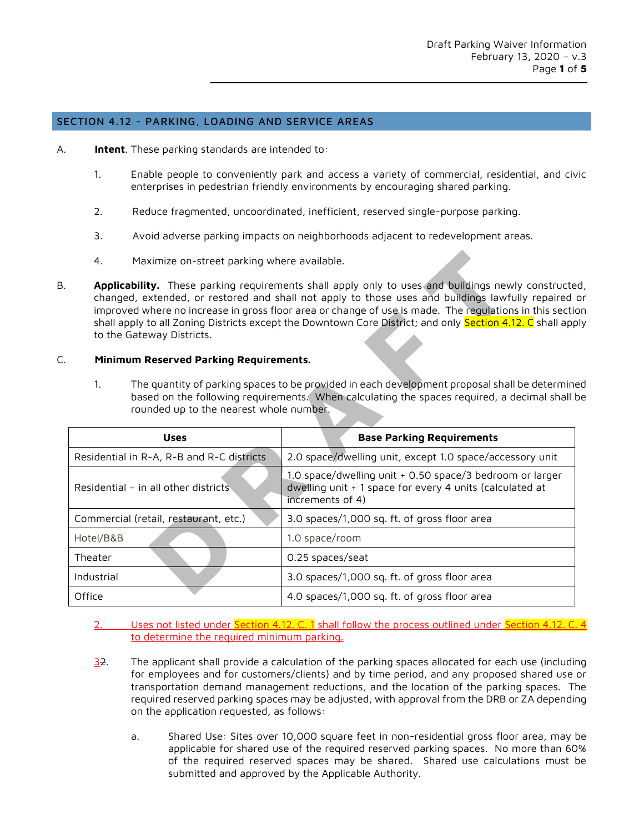## SECTION 4.12 - PARKING, LOADING AND SERVICE AREAS

- A. **Intent**. These parking standards are intended to:
	- 1. Enable people to conveniently park and access a variety of commercial, residential, and civic enterprises in pedestrian friendly environments by encouraging shared parking.
	- 2. Reduce fragmented, uncoordinated, inefficient, reserved single-purpose parking.
	- 3. Avoid adverse parking impacts on neighborhoods adjacent to redevelopment areas.
	- 4. Maximize on-street parking where available.
- B. **Applicability.** These parking requirements shall apply only to uses and buildings newly constructed, changed, extended, or restored and shall not apply to those uses and buildings lawfully repaired or improved where no increase in gross floor area or change of use is made. The regulations in this section shall apply to all Zoning Districts except the Downtown Core District; and only <mark>Section 4.12. C</mark> shall apply to the Gateway Districts.

## C. **Minimum Reserved Parking Requirements.**

1. The quantity of parking spaces to be provided in each development proposal shall be determined based on the following requirements. When calculating the spaces required, a decimal shall be rounded up to the nearest whole number.

| <b>Uses</b>                               | <b>Base Parking Requirements</b>                                                                                                         |  |  |  |  |  |
|-------------------------------------------|------------------------------------------------------------------------------------------------------------------------------------------|--|--|--|--|--|
| Residential in R-A, R-B and R-C districts | 2.0 space/dwelling unit, except 1.0 space/accessory unit                                                                                 |  |  |  |  |  |
| Residential - in all other districts      | 1.0 space/dwelling unit + 0.50 space/3 bedroom or larger<br>dwelling unit + 1 space for every 4 units (calculated at<br>increments of 4) |  |  |  |  |  |
| Commercial (retail, restaurant, etc.)     | 3.0 spaces/1,000 sq. ft. of gross floor area                                                                                             |  |  |  |  |  |
| Hotel/B&B                                 | 1.0 space/room                                                                                                                           |  |  |  |  |  |
| Theater                                   | 0.25 spaces/seat                                                                                                                         |  |  |  |  |  |
| Industrial                                | 3.0 spaces/1,000 sq. ft. of gross floor area                                                                                             |  |  |  |  |  |
| Office                                    | 4.0 spaces/1,000 sq. ft. of gross floor area                                                                                             |  |  |  |  |  |

- 2. Uses not listed under Section 4.12. C. 1 shall follow the process outlined under Section 4.12. C. 4 to determine the required minimum parking.
- $\frac{32}{2}$ . The applicant shall provide a calculation of the parking spaces allocated for each use (including for employees and for customers/clients) and by time period, and any proposed shared use or transportation demand management reductions, and the location of the parking spaces. The required reserved parking spaces may be adjusted, with approval from the DRB or ZA depending on the application requested, as follows:
	- a. Shared Use: Sites over 10,000 square feet in non-residential gross floor area, may be applicable for shared use of the required reserved parking spaces. No more than 60% of the required reserved spaces may be shared. Shared use calculations must be submitted and approved by the Applicable Authority.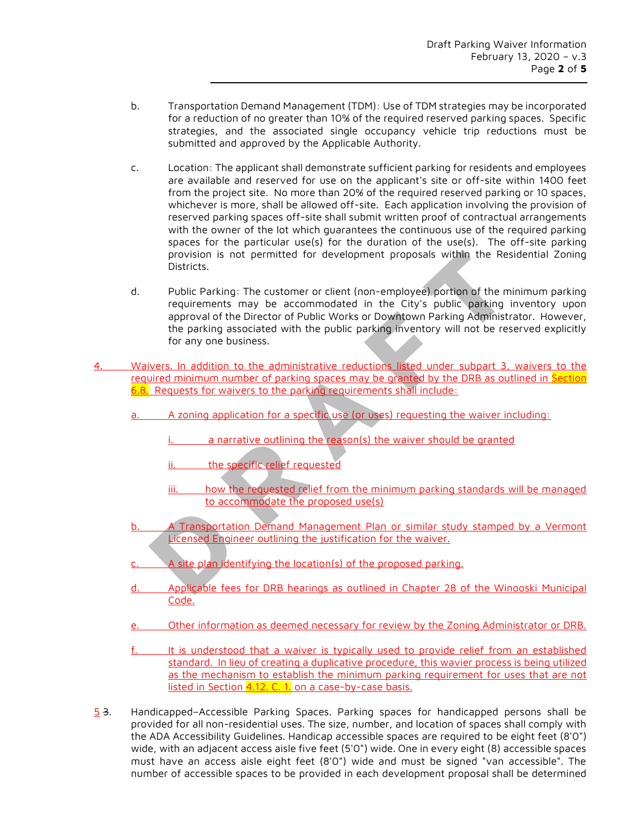- b. Transportation Demand Management (TDM): Use of TDM strategies may be incorporated for a reduction of no greater than 10% of the required reserved parking spaces. Specific strategies, and the associated single occupancy vehicle trip reductions must be submitted and approved by the Applicable Authority.
- c. Location: The applicant shall demonstrate sufficient parking for residents and employees are available and reserved for use on the applicant's site or off-site within 1400 feet from the project site. No more than 20% of the required reserved parking or 10 spaces, whichever is more, shall be allowed off-site. Each application involving the provision of reserved parking spaces off-site shall submit written proof of contractual arrangements with the owner of the lot which guarantees the continuous use of the required parking spaces for the particular use(s) for the duration of the use(s). The off-site parking provision is not permitted for development proposals within the Residential Zoning Districts.
- d. Public Parking: The customer or client (non-employee) portion of the minimum parking requirements may be accommodated in the City's public parking inventory upon approval of the Director of Public Works or Downtown Parking Administrator. However, the parking associated with the public parking inventory will not be reserved explicitly for any one business.
- 4. Waivers. In addition to the administrative reductions listed under subpart 3, waivers to the required minimum number of parking spaces may be granted by the DRB as outlined in Section 6.8. Requests for waivers to the parking requirements shall include:
	- a. A zoning application for a specific use (or uses) requesting the waiver including:
		- a narrative outlining the reason(s) the waiver should be granted
		- ii. the specific relief requested
		- iii. how the requested relief from the minimum parking standards will be managed to accommodate the proposed use(s)
	- b. A Transportation Demand Management Plan or similar study stamped by a Vermont Licensed Engineer outlining the justification for the waiver.
	- A site plan identifying the location(s) of the proposed parking.
	- d. Applicable fees for DRB hearings as outlined in Chapter 28 of the Winooski Municipal Code.
	- e. Other information as deemed necessary for review by the Zoning Administrator or DRB.
	- f. It is understood that a waiver is typically used to provide relief from an established standard. In lieu of creating a duplicative procedure, this wavier process is being utilized as the mechanism to establish the minimum parking requirement for uses that are not listed in Section 4.12. C. 1. on a case-by-case basis.
- 5 3. Handicapped–Accessible Parking Spaces. Parking spaces for handicapped persons shall be provided for all non-residential uses. The size, number, and location of spaces shall comply with the ADA Accessibility Guidelines. Handicap accessible spaces are required to be eight feet (8'0") wide, with an adjacent access aisle five feet (5'0") wide. One in every eight (8) accessible spaces must have an access aisle eight feet (8'0") wide and must be signed "van accessible". The number of accessible spaces to be provided in each development proposal shall be determined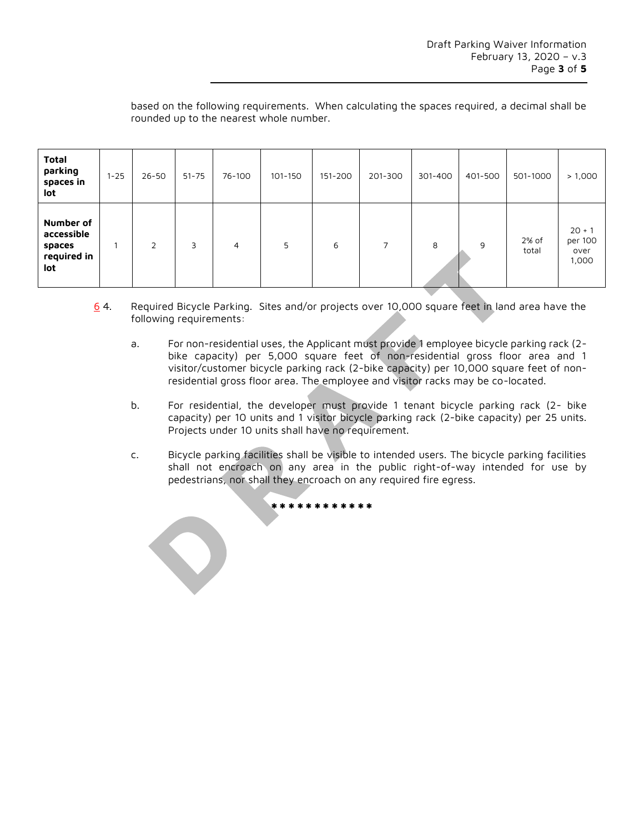based on the following requirements. When calculating the spaces required, a decimal shall be rounded up to the nearest whole number.

| <b>Total</b><br>parking<br>spaces in<br>lot             | $1 - 25$ | $26 - 50$      | $51 - 75$ | 76-100 | 101-150 | 151-200 | 201-300 | 301-400 | 401-500 | 501-1000         | > 1,000                              |
|---------------------------------------------------------|----------|----------------|-----------|--------|---------|---------|---------|---------|---------|------------------|--------------------------------------|
| Number of<br>accessible<br>spaces<br>required in<br>lot |          | $\overline{2}$ | 3         | 4      | 5       | 6       | 7       | 8       | 9       | $2%$ of<br>total | $20 + 1$<br>per 100<br>over<br>1,000 |

- 6 4. Required Bicycle Parking. Sites and/or projects over 10,000 square feet in land area have the following requirements:
	- a. For non-residential uses, the Applicant must provide 1 employee bicycle parking rack (2 bike capacity) per 5,000 square feet of non-residential gross floor area and 1 visitor/customer bicycle parking rack (2-bike capacity) per 10,000 square feet of nonresidential gross floor area. The employee and visitor racks may be co-located.
	- b. For residential, the developer must provide 1 tenant bicycle parking rack (2- bike capacity) per 10 units and 1 visitor bicycle parking rack (2-bike capacity) per 25 units. Projects under 10 units shall have no requirement.
	- c. Bicycle parking facilities shall be visible to intended users. The bicycle parking facilities shall not encroach on any area in the public right-of-way intended for use by pedestrians, nor shall they encroach on any required fire egress.

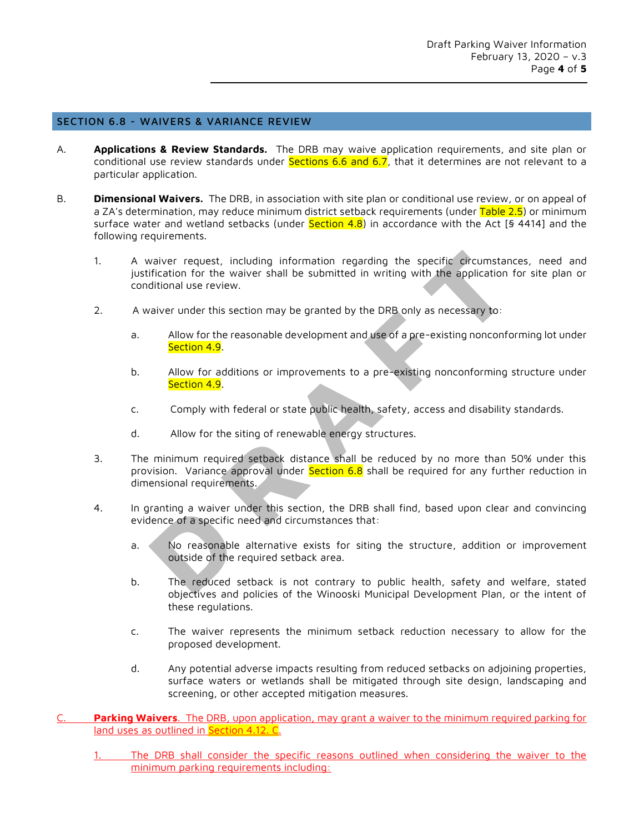## SECTION 6.8 - WAIVERS & VARIANCE REVIEW

- A. **Applications & Review Standards.** The DRB may waive application requirements, and site plan or conditional use review standards under Sections 6.6 and 6.7, that it determines are not relevant to a particular application.
- B. **Dimensional Waivers.** The DRB, in association with site plan or conditional use review, or on appeal of a ZA's determination, may reduce minimum district setback requirements (under <mark>Table 2.5</mark>) or minimum surface water and wetland setbacks (under <mark>Section 4.8</mark>) in accordance with the Act [§ 4414] and the following requirements.
	- 1. A waiver request, including information regarding the specific circumstances, need and justification for the waiver shall be submitted in writing with the application for site plan or conditional use review.
	- 2. A waiver under this section may be granted by the DRB only as necessary to:
		- a. Allow for the reasonable development and use of a pre-existing nonconforming lot under Section 4.9.
		- b. Allow for additions or improvements to a pre-existing nonconforming structure under Section 4.9.
		- c. Comply with federal or state public health, safety, access and disability standards.
		- d. Allow for the siting of renewable energy structures.
	- 3. The minimum required setback distance shall be reduced by no more than 50% under this provision. Variance approval under Section 6.8 shall be required for any further reduction in dimensional requirements.
	- 4. In granting a waiver under this section, the DRB shall find, based upon clear and convincing evidence of a specific need and circumstances that:
		- a. No reasonable alternative exists for siting the structure, addition or improvement outside of the required setback area.
		- b. The reduced setback is not contrary to public health, safety and welfare, stated objectives and policies of the Winooski Municipal Development Plan, or the intent of these regulations.
		- c. The waiver represents the minimum setback reduction necessary to allow for the proposed development.
		- d. Any potential adverse impacts resulting from reduced setbacks on adjoining properties, surface waters or wetlands shall be mitigated through site design, landscaping and screening, or other accepted mitigation measures.
- Parking Waivers. The DRB, upon application, may grant a waiver to the minimum required parking for land uses as outlined in Section 4.12. C.
	- 1. The DRB shall consider the specific reasons outlined when considering the waiver to the minimum parking requirements including: